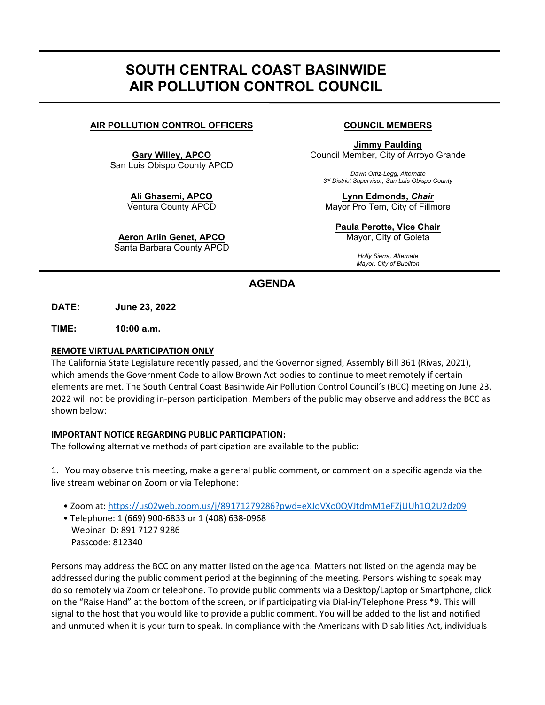# SOUTH CENTRAL COAST BASINWIDE AIR POLLUTION CONTROL COUNCIL

# AIR POLLUTION CONTROL OFFICERS COUNCIL MEMBERS

Gary Willey, APCO San Luis Obispo County APCD

> Ali Ghasemi, APCO Ventura County APCD

Aeron Arlin Genet, APCO

Santa Barbara County APCD

Jimmy Paulding Council Member, City of Arroyo Grande

Dawn Ortiz-Legg, Alternate 3rd District Supervisor, San Luis Obispo County

Lynn Edmonds, Chair Mayor Pro Tem, City of Fillmore

Paula Perotte**, Vice Chair**  Mayor, City of Goleta

> Holly Sierra, Alternate Mayor, City of Buellton

# AGENDA

DATE: June 23, 2022

TIME: 10:00 a.m.

## REMOTE VIRTUAL PARTICIPATION ONLY

The California State Legislature recently passed, and the Governor signed, Assembly Bill 361 (Rivas, 2021), which amends the Government Code to allow Brown Act bodies to continue to meet remotely if certain elements are met. The South Central Coast Basinwide Air Pollution Control Council's (BCC) meeting on June 23, 2022 will not be providing in-person participation. Members of the public may observe and address the BCC as shown below:

### IMPORTANT NOTICE REGARDING PUBLIC PARTICIPATION:

The following alternative methods of participation are available to the public:

1. You may observe this meeting, make a general public comment, or comment on a specific agenda via the live stream webinar on Zoom or via Telephone:

- Zoom at: https://us02web.zoom.us/j/89171279286?pwd=eXJoVXo0QVJtdmM1eFZjUUh1Q2U2dz09
- Telephone: 1 (669) 900-6833 or 1 (408) 638-0968 Webinar ID: 891 7127 9286 Passcode: 812340

Persons may address the BCC on any matter listed on the agenda. Matters not listed on the agenda may be addressed during the public comment period at the beginning of the meeting. Persons wishing to speak may do so remotely via Zoom or telephone. To provide public comments via a Desktop/Laptop or Smartphone, click on the "Raise Hand" at the bottom of the screen, or if participating via Dial-in/Telephone Press \*9. This will signal to the host that you would like to provide a public comment. You will be added to the list and notified and unmuted when it is your turn to speak. In compliance with the Americans with Disabilities Act, individuals